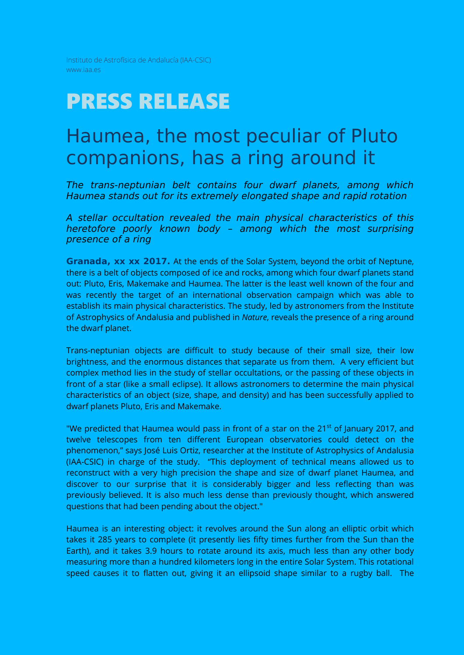Instituto de Astrofísica de Andalucía (IAA-CSIC) www.iaa.es

# PRESS RELEASE

# Haumea, the most peculiar of Pluto companions, has a ring around it

*The trans-neptunian belt contains four dwarf planets, among which Haumea stands out for its extremely elongated shape and rapid rotation* 

*A stellar occultation revealed the main physical characteristics of this heretofore poorly known body – among which the most surprising presence of a ring* 

**Granada, xx xx 2017.** At the ends of the Solar System, beyond the orbit of Neptune, there is a belt of objects composed of ice and rocks, among which four dwarf planets stand out: Pluto, Eris, Makemake and Haumea. The latter is the least well known of the four and was recently the target of an international observation campaign which was able to establish its main physical characteristics. The study, led by astronomers from the Institute of Astrophysics of Andalusia and published in *Nature*, reveals the presence of a ring around the dwarf planet.

Trans-neptunian objects are difficult to study because of their small size, their low brightness, and the enormous distances that separate us from them. A very efficient but complex method lies in the study of stellar occultations, or the passing of these objects in front of a star (like a small eclipse). It allows astronomers to determine the main physical characteristics of an object (size, shape, and density) and has been successfully applied to dwarf planets Pluto, Eris and Makemake.

"We predicted that Haumea would pass in front of a star on the 21<sup>st</sup> of January 2017, and twelve telescopes from ten different European observatories could detect on the phenomenon," says José Luis Ortiz, researcher at the Institute of Astrophysics of Andalusia (IAA-CSIC) in charge of the study. "This deployment of technical means allowed us to reconstruct with a very high precision the shape and size of dwarf planet Haumea, and discover to our surprise that it is considerably bigger and less reflecting than was previously believed. It is also much less dense than previously thought, which answered questions that had been pending about the object."

Haumea is an interesting object: it revolves around the Sun along an elliptic orbit which takes it 285 years to complete (it presently lies fifty times further from the Sun than the Earth), and it takes 3.9 hours to rotate around its axis, much less than any other body measuring more than a hundred kilometers long in the entire Solar System. This rotational speed causes it to flatten out, giving it an ellipsoid shape similar to a rugby ball. The